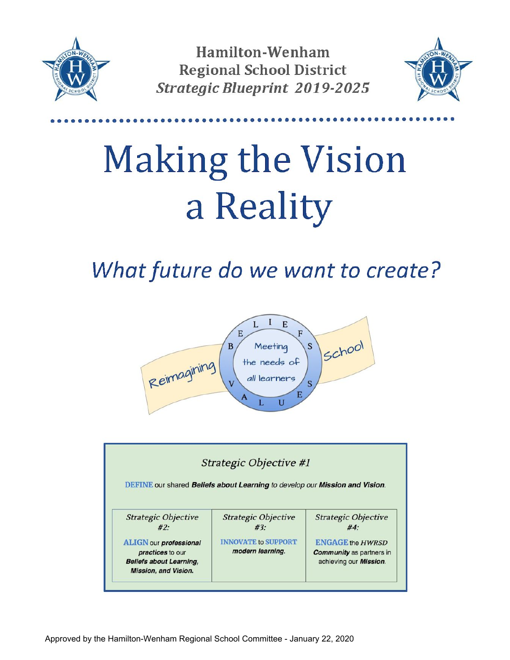

Hamilton-Wenham **Regional School District Strategic Blueprint 2019-2025** 



# **Making the Vision** a Reality

What future do we want to create?



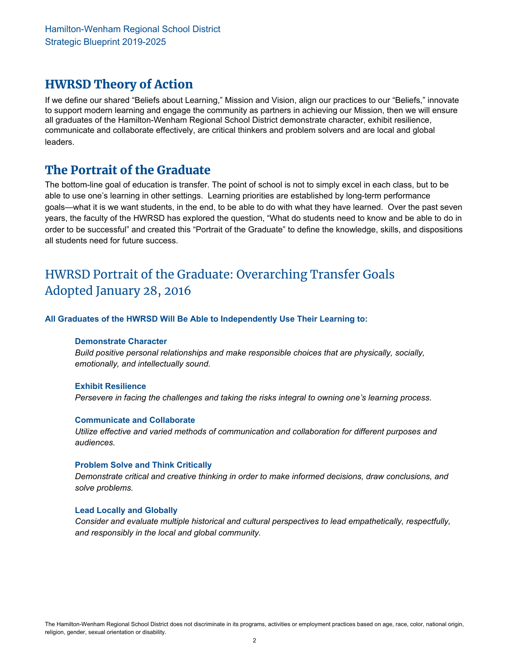## HWRSD Theory of Action

 If we define our shared "Beliefs about Learning," Mission and Vision, align our practices to our "Beliefs," innovate to support modern learning and engage the community as partners in achieving our Mission, then we will ensure all graduates of the Hamilton-Wenham Regional School District demonstrate character, exhibit resilience, communicate and collaborate effectively, are critical thinkers and problem solvers and are local and global leaders.

## The Portrait of the Graduate

 The bottom-line goal of education is transfer. The point of school is not to simply excel in each class, but to be able to use one's learning in other settings. Learning priorities are established by long-term performance goals—what it is we want students, in the end, to be able to do with what they have learned. Over the past seven years, the faculty of the HWRSD has explored the question, "What do students need to know and be able to do in order to be successful" and created this "Portrait of the Graduate" to define the knowledge, skills, and dispositions all students need for future success.

## HWRSD Portrait of the Graduate: Overarching Transfer Goals Adopted January 28, 2016

 **All Graduates of the HWRSD Will Be Able to Independently Use Their Learning to:**

#### **Demonstrate Character**

 *Build positive personal relationships and make responsible choices that are physically, socially, emotionally, and intellectually sound.*

#### **Exhibit Resilience**

 *Persevere in facing the challenges and taking the risks integral to owning one's learning process*.

#### **Communicate and Collaborate**

 *Utilize effective and varied methods of communication and collaboration for different purposes and audiences.*

#### **Problem Solve and Think Critically**

 *Demonstrate critical and creative thinking in order to make informed decisions, draw conclusions, and solve problems.*

#### **Lead Locally and Globally**

 *Consider and evaluate multiple historical and cultural perspectives to lead empathetically, respectfully, and responsibly in the local and global community.*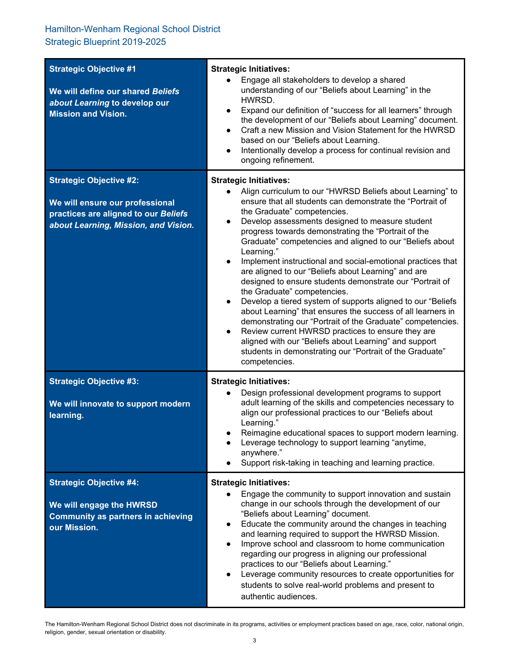### Hamilton-Wenham Regional School District Strategic Blueprint 2019-2025

| <b>Strategic Objective #1</b><br>We will define our shared Beliefs<br>about Learning to develop our<br><b>Mission and Vision.</b>                 | <b>Strategic Initiatives:</b><br>Engage all stakeholders to develop a shared<br>$\bullet$<br>understanding of our "Beliefs about Learning" in the<br>HWRSD.<br>Expand our definition of "success for all learners" through<br>$\bullet$<br>the development of our "Beliefs about Learning" document.<br>Craft a new Mission and Vision Statement for the HWRSD<br>$\bullet$<br>based on our "Beliefs about Learning.<br>Intentionally develop a process for continual revision and<br>$\bullet$<br>ongoing refinement.                                                                                                                                                                                                                                                                                                                                                                                                                                                                                                                 |
|---------------------------------------------------------------------------------------------------------------------------------------------------|----------------------------------------------------------------------------------------------------------------------------------------------------------------------------------------------------------------------------------------------------------------------------------------------------------------------------------------------------------------------------------------------------------------------------------------------------------------------------------------------------------------------------------------------------------------------------------------------------------------------------------------------------------------------------------------------------------------------------------------------------------------------------------------------------------------------------------------------------------------------------------------------------------------------------------------------------------------------------------------------------------------------------------------|
| <b>Strategic Objective #2:</b><br>We will ensure our professional<br>practices are aligned to our Beliefs<br>about Learning, Mission, and Vision. | <b>Strategic Initiatives:</b><br>Align curriculum to our "HWRSD Beliefs about Learning" to<br>ensure that all students can demonstrate the "Portrait of<br>the Graduate" competencies.<br>Develop assessments designed to measure student<br>$\bullet$<br>progress towards demonstrating the "Portrait of the<br>Graduate" competencies and aligned to our "Beliefs about<br>Learning."<br>Implement instructional and social-emotional practices that<br>$\bullet$<br>are aligned to our "Beliefs about Learning" and are<br>designed to ensure students demonstrate our "Portrait of<br>the Graduate" competencies.<br>Develop a tiered system of supports aligned to our "Beliefs<br>$\bullet$<br>about Learning" that ensures the success of all learners in<br>demonstrating our "Portrait of the Graduate" competencies.<br>Review current HWRSD practices to ensure they are<br>$\bullet$<br>aligned with our "Beliefs about Learning" and support<br>students in demonstrating our "Portrait of the Graduate"<br>competencies. |
| <b>Strategic Objective #3:</b><br>We will innovate to support modern<br>learning.                                                                 | <b>Strategic Initiatives:</b><br>Design professional development programs to support<br>adult learning of the skills and competencies necessary to<br>align our professional practices to our "Beliefs about<br>Learning."<br>Reimagine educational spaces to support modern learning.<br>Leverage technology to support learning "anytime,<br>anywhere."<br>Support risk-taking in teaching and learning practice.                                                                                                                                                                                                                                                                                                                                                                                                                                                                                                                                                                                                                    |
| <b>Strategic Objective #4:</b><br>We will engage the HWRSD<br><b>Community as partners in achieving</b><br>our Mission.                           | <b>Strategic Initiatives:</b><br>Engage the community to support innovation and sustain<br>$\bullet$<br>change in our schools through the development of our<br>"Beliefs about Learning" document.<br>Educate the community around the changes in teaching<br>$\bullet$<br>and learning required to support the HWRSD Mission.<br>Improve school and classroom to home communication<br>$\bullet$<br>regarding our progress in aligning our professional<br>practices to our "Beliefs about Learning."<br>Leverage community resources to create opportunities for<br>$\bullet$<br>students to solve real-world problems and present to<br>authentic audiences.                                                                                                                                                                                                                                                                                                                                                                        |

 The Hamilton-Wenham Regional School District does not discriminate in its programs, activities or employment practices based on age, race, color, national origin, religion, gender, sexual orientation or disability.